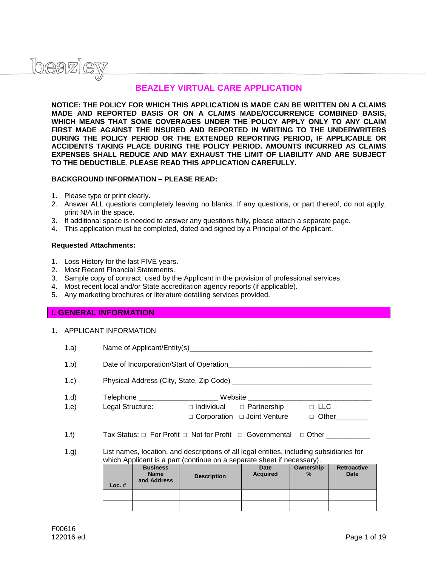

# **BEAZLEY VIRTUAL CARE APPLICATION**

**NOTICE: THE POLICY FOR WHICH THIS APPLICATION IS MADE CAN BE WRITTEN ON A CLAIMS MADE AND REPORTED BASIS OR ON A CLAIMS MADE/OCCURRENCE COMBINED BASIS, WHICH MEANS THAT SOME COVERAGES UNDER THE POLICY APPLY ONLY TO ANY CLAIM FIRST MADE AGAINST THE INSURED AND REPORTED IN WRITING TO THE UNDERWRITERS DURING THE POLICY PERIOD OR THE EXTENDED REPORTING PERIOD, IF APPLICABLE OR ACCIDENTS TAKING PLACE DURING THE POLICY PERIOD. AMOUNTS INCURRED AS CLAIMS EXPENSES SHALL REDUCE AND MAY EXHAUST THE LIMIT OF LIABILITY AND ARE SUBJECT TO THE DEDUCTIBLE**. **PLEASE READ THIS APPLICATION CAREFULLY.** 

#### **BACKGROUND INFORMATION – PLEASE READ:**

- 1. Please type or print clearly.
- 2. Answer ALL questions completely leaving no blanks. If any questions, or part thereof, do not apply, print N/A in the space.
- 3. If additional space is needed to answer any questions fully, please attach a separate page.
- 4. This application must be completed, dated and signed by a Principal of the Applicant.

#### **Requested Attachments:**

- 1. Loss History for the last FIVE years.
- 2. Most Recent Financial Statements.
- 3. Sample copy of contract, used by the Applicant in the provision of professional services.
- 4. Most recent local and/or State accreditation agency reports (if applicable).
- 5. Any marketing brochures or literature detailing services provided.

### **I. GENERAL INFORMATION**

1. APPLICANT INFORMATION

| 1.a) |                                          |                                               |                                                                                          |                         |                |                            |  |  |
|------|------------------------------------------|-----------------------------------------------|------------------------------------------------------------------------------------------|-------------------------|----------------|----------------------------|--|--|
| 1.b) | Date of Incorporation/Start of Operation |                                               |                                                                                          |                         |                |                            |  |  |
| 1.c) |                                          |                                               |                                                                                          |                         |                |                            |  |  |
| 1.d) |                                          |                                               | Telephone ______________________________Website ________________________________         |                         |                |                            |  |  |
| 1.e) |                                          |                                               | Legal Structure: $\square$ Individual $\square$ Partnership $\square$ LLC                |                         |                |                            |  |  |
|      |                                          |                                               | $\Box$ Corporation $\Box$ Joint Venture                                                  |                         |                | $\Box$ Other               |  |  |
| 1.f) |                                          |                                               | Tax Status: □ For Profit □ Not for Profit □ Governmental □ Other                         |                         |                |                            |  |  |
| 1.g) |                                          |                                               | List names, location, and descriptions of all legal entities, including subsidiaries for |                         |                |                            |  |  |
|      |                                          |                                               | which Applicant is a part (continue on a separate sheet if necessary).                   |                         |                |                            |  |  |
|      | $Loc.$ #                                 | <b>Business</b><br><b>Name</b><br>and Address | <b>Description</b>                                                                       | Date<br><b>Acquired</b> | Ownership<br>% | <b>Retroactive</b><br>Date |  |  |
|      |                                          |                                               |                                                                                          |                         |                |                            |  |  |
|      |                                          |                                               |                                                                                          |                         |                |                            |  |  |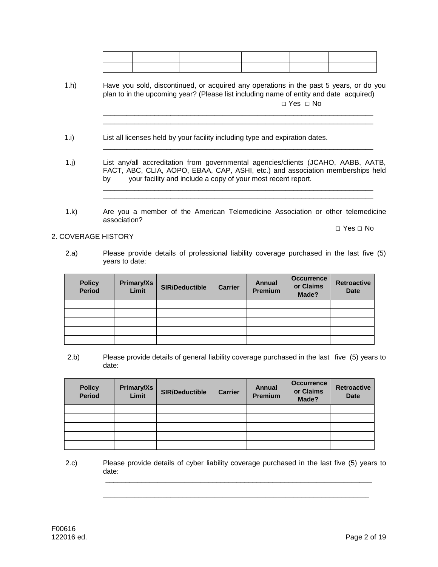\_\_\_\_\_\_\_\_\_\_\_\_\_\_\_\_\_\_\_\_\_\_\_\_\_\_\_\_\_\_\_\_\_\_\_\_\_\_\_\_\_\_\_\_\_\_\_\_\_\_\_\_\_\_\_\_\_\_\_\_\_\_\_\_\_\_\_\_

 $\overline{\phantom{a}}$  ,  $\overline{\phantom{a}}$  ,  $\overline{\phantom{a}}$  ,  $\overline{\phantom{a}}$  ,  $\overline{\phantom{a}}$  ,  $\overline{\phantom{a}}$  ,  $\overline{\phantom{a}}$  ,  $\overline{\phantom{a}}$  ,  $\overline{\phantom{a}}$  ,  $\overline{\phantom{a}}$  ,  $\overline{\phantom{a}}$  ,  $\overline{\phantom{a}}$  ,  $\overline{\phantom{a}}$  ,  $\overline{\phantom{a}}$  ,  $\overline{\phantom{a}}$  ,  $\overline{\phantom{a}}$ 

 $\overline{\phantom{a}}$  ,  $\overline{\phantom{a}}$  ,  $\overline{\phantom{a}}$  ,  $\overline{\phantom{a}}$  ,  $\overline{\phantom{a}}$  ,  $\overline{\phantom{a}}$  ,  $\overline{\phantom{a}}$  ,  $\overline{\phantom{a}}$  ,  $\overline{\phantom{a}}$  ,  $\overline{\phantom{a}}$  ,  $\overline{\phantom{a}}$  ,  $\overline{\phantom{a}}$  ,  $\overline{\phantom{a}}$  ,  $\overline{\phantom{a}}$  ,  $\overline{\phantom{a}}$  ,  $\overline{\phantom{a}}$  $\overline{\phantom{a}}$  ,  $\overline{\phantom{a}}$  ,  $\overline{\phantom{a}}$  ,  $\overline{\phantom{a}}$  ,  $\overline{\phantom{a}}$  ,  $\overline{\phantom{a}}$  ,  $\overline{\phantom{a}}$  ,  $\overline{\phantom{a}}$  ,  $\overline{\phantom{a}}$  ,  $\overline{\phantom{a}}$  ,  $\overline{\phantom{a}}$  ,  $\overline{\phantom{a}}$  ,  $\overline{\phantom{a}}$  ,  $\overline{\phantom{a}}$  ,  $\overline{\phantom{a}}$  ,  $\overline{\phantom{a}}$ 

- 1.h) Have you sold, discontinued, or acquired any operations in the past 5 years, or do you plan to in the upcoming year? (Please list including name of entity and date acquired) □ Yes □ No  $\overline{\phantom{a}}$  ,  $\overline{\phantom{a}}$  ,  $\overline{\phantom{a}}$  ,  $\overline{\phantom{a}}$  ,  $\overline{\phantom{a}}$  ,  $\overline{\phantom{a}}$  ,  $\overline{\phantom{a}}$  ,  $\overline{\phantom{a}}$  ,  $\overline{\phantom{a}}$  ,  $\overline{\phantom{a}}$  ,  $\overline{\phantom{a}}$  ,  $\overline{\phantom{a}}$  ,  $\overline{\phantom{a}}$  ,  $\overline{\phantom{a}}$  ,  $\overline{\phantom{a}}$  ,  $\overline{\phantom{a}}$
- 1.i) List all licenses held by your facility including type and expiration dates.
- 1.j) List any/all accreditation from governmental agencies/clients (JCAHO, AABB, AATB, FACT, ABC, CLIA, AOPO, EBAA, CAP, ASHI, etc.) and association memberships held by your facility and include a copy of your most recent report.
- 1.k) Are you a member of the American Telemedicine Association or other telemedicine association?

2. COVERAGE HISTORY

2.a) Please provide details of professional liability coverage purchased in the last five (5) years to date:

| <b>Policy</b><br><b>Period</b> | <b>Primary/Xs</b><br>Limit | <b>SIR/Deductible</b> | <b>Carrier</b> | <b>Annual</b><br>Premium | <b>Occurrence</b><br>or Claims<br>Made? | <b>Retroactive</b><br><b>Date</b> |
|--------------------------------|----------------------------|-----------------------|----------------|--------------------------|-----------------------------------------|-----------------------------------|
|                                |                            |                       |                |                          |                                         |                                   |
|                                |                            |                       |                |                          |                                         |                                   |
|                                |                            |                       |                |                          |                                         |                                   |
|                                |                            |                       |                |                          |                                         |                                   |
|                                |                            |                       |                |                          |                                         |                                   |

2.b) Please provide details of general liability coverage purchased in the last five (5) years to date:

| <b>Policy</b><br><b>Period</b> | <b>Primary/Xs</b><br>Limit | <b>SIR/Deductible</b> | <b>Carrier</b> | <b>Annual</b><br>Premium | <b>Occurrence</b><br>or Claims<br>Made? | <b>Retroactive</b><br><b>Date</b> |
|--------------------------------|----------------------------|-----------------------|----------------|--------------------------|-----------------------------------------|-----------------------------------|
|                                |                            |                       |                |                          |                                         |                                   |
|                                |                            |                       |                |                          |                                         |                                   |
|                                |                            |                       |                |                          |                                         |                                   |
|                                |                            |                       |                |                          |                                         |                                   |
|                                |                            |                       |                |                          |                                         |                                   |

2.c) Please provide details of cyber liability coverage purchased in the last five (5) years to date:

 $\Box$ 

\_\_\_\_\_\_\_\_\_\_\_\_\_\_\_\_\_\_\_\_\_\_\_\_\_\_\_\_\_\_\_\_\_\_\_\_\_\_\_\_\_\_\_\_\_\_\_\_\_\_\_\_\_\_\_\_\_\_\_\_\_\_\_\_\_\_\_

□ Yes □ No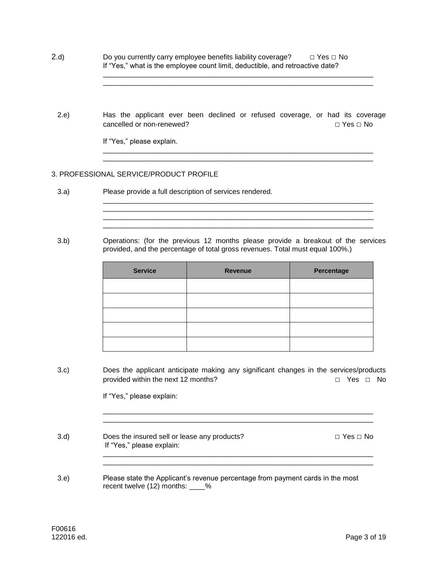2.d) Do you currently carry employee benefits liability coverage?  $□$  Yes  $□$  No If "Yes," what is the employee count limit, deductible, and retroactive date?

2.e) Has the applicant ever been declined or refused coverage, or had its coverage cancelled or non-renewed? □ □ No □ Yes □ No

\_\_\_\_\_\_\_\_\_\_\_\_\_\_\_\_\_\_\_\_\_\_\_\_\_\_\_\_\_\_\_\_\_\_\_\_\_\_\_\_\_\_\_\_\_\_\_\_\_\_\_\_\_\_\_\_\_\_\_\_\_\_\_\_\_\_\_\_ \_\_\_\_\_\_\_\_\_\_\_\_\_\_\_\_\_\_\_\_\_\_\_\_\_\_\_\_\_\_\_\_\_\_\_\_\_\_\_\_\_\_\_\_\_\_\_\_\_\_\_\_\_\_\_\_\_\_\_\_\_\_\_\_\_\_\_\_

 $\overline{\phantom{a}}$  ,  $\overline{\phantom{a}}$  ,  $\overline{\phantom{a}}$  ,  $\overline{\phantom{a}}$  ,  $\overline{\phantom{a}}$  ,  $\overline{\phantom{a}}$  ,  $\overline{\phantom{a}}$  ,  $\overline{\phantom{a}}$  ,  $\overline{\phantom{a}}$  ,  $\overline{\phantom{a}}$  ,  $\overline{\phantom{a}}$  ,  $\overline{\phantom{a}}$  ,  $\overline{\phantom{a}}$  ,  $\overline{\phantom{a}}$  ,  $\overline{\phantom{a}}$  ,  $\overline{\phantom{a}}$ 

 $\overline{\phantom{a}}$  ,  $\overline{\phantom{a}}$  ,  $\overline{\phantom{a}}$  ,  $\overline{\phantom{a}}$  ,  $\overline{\phantom{a}}$  ,  $\overline{\phantom{a}}$  ,  $\overline{\phantom{a}}$  ,  $\overline{\phantom{a}}$  ,  $\overline{\phantom{a}}$  ,  $\overline{\phantom{a}}$  ,  $\overline{\phantom{a}}$  ,  $\overline{\phantom{a}}$  ,  $\overline{\phantom{a}}$  ,  $\overline{\phantom{a}}$  ,  $\overline{\phantom{a}}$  ,  $\overline{\phantom{a}}$  $\overline{\phantom{a}}$  ,  $\overline{\phantom{a}}$  ,  $\overline{\phantom{a}}$  ,  $\overline{\phantom{a}}$  ,  $\overline{\phantom{a}}$  ,  $\overline{\phantom{a}}$  ,  $\overline{\phantom{a}}$  ,  $\overline{\phantom{a}}$  ,  $\overline{\phantom{a}}$  ,  $\overline{\phantom{a}}$  ,  $\overline{\phantom{a}}$  ,  $\overline{\phantom{a}}$  ,  $\overline{\phantom{a}}$  ,  $\overline{\phantom{a}}$  ,  $\overline{\phantom{a}}$  ,  $\overline{\phantom{a}}$ \_\_\_\_\_\_\_\_\_\_\_\_\_\_\_\_\_\_\_\_\_\_\_\_\_\_\_\_\_\_\_\_\_\_\_\_\_\_\_\_\_\_\_\_\_\_\_\_\_\_\_\_\_\_\_\_\_\_\_\_\_\_\_\_\_\_\_\_  $\overline{\phantom{a}}$  ,  $\overline{\phantom{a}}$  ,  $\overline{\phantom{a}}$  ,  $\overline{\phantom{a}}$  ,  $\overline{\phantom{a}}$  ,  $\overline{\phantom{a}}$  ,  $\overline{\phantom{a}}$  ,  $\overline{\phantom{a}}$  ,  $\overline{\phantom{a}}$  ,  $\overline{\phantom{a}}$  ,  $\overline{\phantom{a}}$  ,  $\overline{\phantom{a}}$  ,  $\overline{\phantom{a}}$  ,  $\overline{\phantom{a}}$  ,  $\overline{\phantom{a}}$  ,  $\overline{\phantom{a}}$ 

If "Yes," please explain.

#### 3. PROFESSIONAL SERVICE/PRODUCT PROFILE

- 3.a) Please provide a full description of services rendered.
- 3.b) Operations: (for the previous 12 months please provide a breakout of the services provided, and the percentage of total gross revenues. Total must equal 100%.)

| <b>Service</b> | <b>Revenue</b> | Percentage |
|----------------|----------------|------------|
|                |                |            |
|                |                |            |
|                |                |            |
|                |                |            |
|                |                |            |

 $\overline{\phantom{a}}$  ,  $\overline{\phantom{a}}$  ,  $\overline{\phantom{a}}$  ,  $\overline{\phantom{a}}$  ,  $\overline{\phantom{a}}$  ,  $\overline{\phantom{a}}$  ,  $\overline{\phantom{a}}$  ,  $\overline{\phantom{a}}$  ,  $\overline{\phantom{a}}$  ,  $\overline{\phantom{a}}$  ,  $\overline{\phantom{a}}$  ,  $\overline{\phantom{a}}$  ,  $\overline{\phantom{a}}$  ,  $\overline{\phantom{a}}$  ,  $\overline{\phantom{a}}$  ,  $\overline{\phantom{a}}$ \_\_\_\_\_\_\_\_\_\_\_\_\_\_\_\_\_\_\_\_\_\_\_\_\_\_\_\_\_\_\_\_\_\_\_\_\_\_\_\_\_\_\_\_\_\_\_\_\_\_\_\_\_\_\_\_\_\_\_\_\_\_\_\_\_\_\_\_

\_\_\_\_\_\_\_\_\_\_\_\_\_\_\_\_\_\_\_\_\_\_\_\_\_\_\_\_\_\_\_\_\_\_\_\_\_\_\_\_\_\_\_\_\_\_\_\_\_\_\_\_\_\_\_\_\_\_\_\_\_\_\_\_\_\_\_\_

3.c) Does the applicant anticipate making any significant changes in the services/products provided within the next 12 months? □ □ Yes □ No

If "Yes," please explain:

- 3.d) Does the insured sell or lease any products?  $\Box$  Yes  $\Box$  No If "Yes," please explain: \_\_\_\_\_\_\_\_\_\_\_\_\_\_\_\_\_\_\_\_\_\_\_\_\_\_\_\_\_\_\_\_\_\_\_\_\_\_\_\_\_\_\_\_\_\_\_\_\_\_\_\_\_\_\_\_\_\_\_\_\_\_\_\_\_\_\_\_
- 3.e) Please state the Applicant's revenue percentage from payment cards in the most recent twelve (12) months: \_\_\_\_%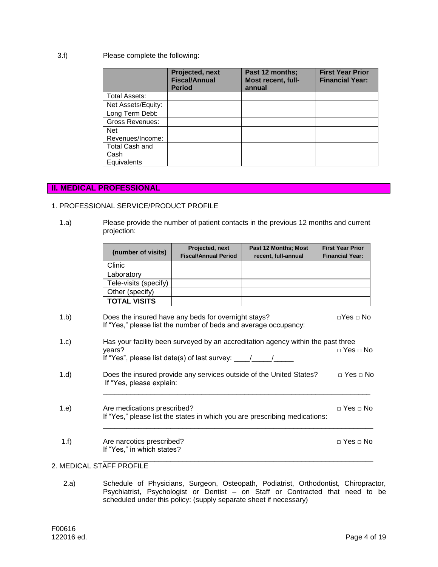## 3.f) Please complete the following:

|                    | Projected, next<br><b>Fiscal/Annual</b><br><b>Period</b> | Past 12 months;<br>Most recent, full-<br>annual | <b>First Year Prior</b><br><b>Financial Year:</b> |
|--------------------|----------------------------------------------------------|-------------------------------------------------|---------------------------------------------------|
| Total Assets:      |                                                          |                                                 |                                                   |
| Net Assets/Equity: |                                                          |                                                 |                                                   |
| Long Term Debt:    |                                                          |                                                 |                                                   |
| Gross Revenues:    |                                                          |                                                 |                                                   |
| <b>Net</b>         |                                                          |                                                 |                                                   |
| Revenues/Income:   |                                                          |                                                 |                                                   |
| Total Cash and     |                                                          |                                                 |                                                   |
| Cash               |                                                          |                                                 |                                                   |
| Equivalents        |                                                          |                                                 |                                                   |

## **II. MEDICAL PROFESSIONAL**

## 1. PROFESSIONAL SERVICE/PRODUCT PROFILE

 1.a) Please provide the number of patient contacts in the previous 12 months and current projection:

|      | (number of visits)                                                                                                     | Projected, next<br><b>Fiscal/Annual Period</b> | Past 12 Months; Most<br>recent, full-annual                                      | <b>First Year Prior</b><br><b>Financial Year:</b> |  |
|------|------------------------------------------------------------------------------------------------------------------------|------------------------------------------------|----------------------------------------------------------------------------------|---------------------------------------------------|--|
|      | Clinic                                                                                                                 |                                                |                                                                                  |                                                   |  |
|      | Laboratory                                                                                                             |                                                |                                                                                  |                                                   |  |
|      | Tele-visits (specify)                                                                                                  |                                                |                                                                                  |                                                   |  |
|      | Other (specify)                                                                                                        |                                                |                                                                                  |                                                   |  |
|      | <b>TOTAL VISITS</b>                                                                                                    |                                                |                                                                                  |                                                   |  |
| 1.b) | Does the insured have any beds for overnight stays?<br>If "Yes," please list the number of beds and average occupancy: |                                                |                                                                                  | ⊓Yes ⊓ No                                         |  |
| 1.c) | years?<br>If "Yes", please list date(s) of last survey: $\frac{1}{\sqrt{2}}$                                           |                                                | Has your facility been surveyed by an accreditation agency within the past three | $\Box$ Yes $\Box$ No                              |  |
| 1.d) | If "Yes, please explain:                                                                                               |                                                | Does the insured provide any services outside of the United States?              | $\sqcap$ Yes $\sqcap$ No                          |  |
| 1.e) | Are medications prescribed?<br>If "Yes," please list the states in which you are prescribing medications:              |                                                |                                                                                  |                                                   |  |
| 1.f) | Are narcotics prescribed?<br>If "Yes," in which states?                                                                |                                                |                                                                                  | ⊓ Yes ⊓ No                                        |  |

# 2. MEDICAL STAFF PROFILE

2.a) Schedule of Physicians, Surgeon, Osteopath, Podiatrist, Orthodontist, Chiropractor, Psychiatrist, Psychologist or Dentist – on Staff or Contracted that need to be scheduled under this policy: (supply separate sheet if necessary)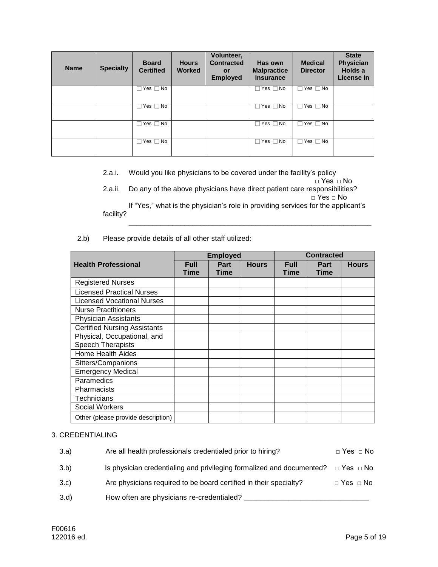| <b>Name</b> | <b>Specialty</b> | <b>Board</b><br><b>Certified</b> | <b>Hours</b><br><b>Worked</b> | Volunteer,<br><b>Contracted</b><br><b>or</b><br><b>Employed</b> | Has own<br><b>Malpractice</b><br><b>Insurance</b> | <b>Medical</b><br><b>Director</b> | <b>State</b><br>Physician<br>Holds a<br>License In |
|-------------|------------------|----------------------------------|-------------------------------|-----------------------------------------------------------------|---------------------------------------------------|-----------------------------------|----------------------------------------------------|
|             |                  | Yes $\Box$ No                    |                               |                                                                 | Yes $\Box$ No                                     | Yes $\Box$ No                     |                                                    |
|             |                  | Yes $\Box$ No                    |                               |                                                                 | Yes $\Box$ No                                     | Yes $\Box$ No                     |                                                    |
|             |                  | Yes $\Box$ No                    |                               |                                                                 | Yes $\Box$ No                                     | Yes $\Box$ No                     |                                                    |
|             |                  | Yes $\Box$ No                    |                               |                                                                 | Yes $\Box$ No                                     | Yes $\Box$ No                     |                                                    |

2.a.i. Would you like physicians to be covered under the facility's policy

□ Yes □ No 2.a.ii. Do any of the above physicians have direct patient care responsibilities? □ Yes □ No If "Yes," what is the physician's role in providing services for the applicant's facility?

 $\mathcal{L} = \{ \mathcal{L} = \{ \mathcal{L} = \{ \mathcal{L} = \mathcal{L} \} \mid \mathcal{L} = \{ \mathcal{L} = \{ \mathcal{L} = \mathcal{L} \} \mid \mathcal{L} = \{ \mathcal{L} = \{ \mathcal{L} = \mathcal{L} = \mathcal{L} = \mathcal{L} \} \mid \mathcal{L} = \{ \mathcal{L} = \{ \mathcal{L} = \mathcal{L} = \mathcal{L} = \mathcal{L} = \mathcal{L} = \mathcal{L} = \mathcal{L} = \mathcal{L} = \mathcal{L} = \mathcal{L} \}$ 

## 2.b) Please provide details of all other staff utilized:

|                                                         |                     | <b>Employed</b>     |              | <b>Contracted</b>          |                            |              |
|---------------------------------------------------------|---------------------|---------------------|--------------|----------------------------|----------------------------|--------------|
| <b>Health Professional</b>                              | <b>Full</b><br>Time | Part<br><b>Time</b> | <b>Hours</b> | <b>Full</b><br><b>Time</b> | <b>Part</b><br><b>Time</b> | <b>Hours</b> |
| <b>Registered Nurses</b>                                |                     |                     |              |                            |                            |              |
| <b>Licensed Practical Nurses</b>                        |                     |                     |              |                            |                            |              |
| <b>Licensed Vocational Nurses</b>                       |                     |                     |              |                            |                            |              |
| <b>Nurse Practitioners</b>                              |                     |                     |              |                            |                            |              |
| <b>Physician Assistants</b>                             |                     |                     |              |                            |                            |              |
| <b>Certified Nursing Assistants</b>                     |                     |                     |              |                            |                            |              |
| Physical, Occupational, and<br><b>Speech Therapists</b> |                     |                     |              |                            |                            |              |
| <b>Home Health Aides</b>                                |                     |                     |              |                            |                            |              |
| Sitters/Companions                                      |                     |                     |              |                            |                            |              |
| <b>Emergency Medical</b>                                |                     |                     |              |                            |                            |              |
| Paramedics                                              |                     |                     |              |                            |                            |              |
| Pharmacists                                             |                     |                     |              |                            |                            |              |
| Technicians                                             |                     |                     |              |                            |                            |              |
| Social Workers                                          |                     |                     |              |                            |                            |              |
| Other (please provide description)                      |                     |                     |              |                            |                            |              |

## 3. CREDENTIALING

| 3.a) | Are all health professionals credentialed prior to hiring?            | $\Box$ Yes $\Box$ No |
|------|-----------------------------------------------------------------------|----------------------|
| 3.b) | Is physician credentialing and privileging formalized and documented? | $\Box$ Yes $\Box$ No |
| 3.c  | Are physicians required to be board certified in their specialty?     | $\Box$ Yes $\Box$ No |
| 3.d  | How often are physicians re-credentialed?                             |                      |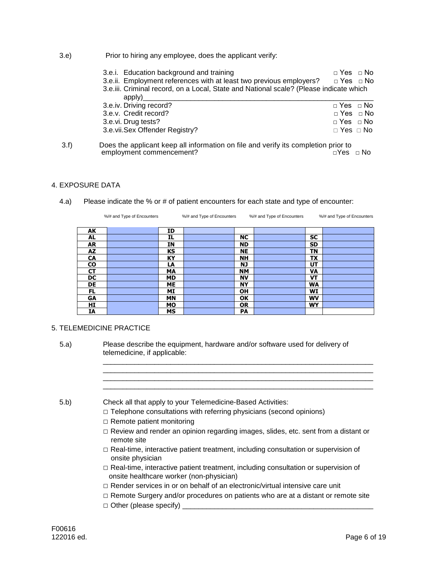3.e) Prior to hiring any employee, does the applicant verify:

| 3.e.i. Education background and training                                                 | $\Box$ Yes $\Box$ No |  |
|------------------------------------------------------------------------------------------|----------------------|--|
| 3.e.ii. Employment references with at least two previous employers? $\Box$ Yes $\Box$ No |                      |  |
| 3.e.iii. Criminal record, on a Local, State and National scale? (Please indicate which   |                      |  |
| apply)                                                                                   |                      |  |
| 3.e.iv. Driving record?                                                                  | $\Box$ Yes $\Box$ No |  |
| 3.e.v. Credit record?                                                                    | $\Box$ Yes $\Box$ No |  |
| 3.e.vi. Drug tests?                                                                      | $\Box$ Yes $\Box$ No |  |
| 3.e.vii.Sex Offender Registry?                                                           | $\Box$ Yes $\Box$ No |  |

 3.f) Does the applicant keep all information on file and verify its completion prior to employment commencement? □Yes □ No

### 4. EXPOSURE DATA

4.a) Please indicate the % or # of patient encounters for each state and type of encounter:

|           | %/# and Type of Encounters |           | %/# and Type of Encounters |           | %/# and Type of Encounters |           | %/# and Type of Encounters |
|-----------|----------------------------|-----------|----------------------------|-----------|----------------------------|-----------|----------------------------|
|           |                            |           |                            |           |                            |           |                            |
| AK        |                            | ID        |                            |           |                            |           |                            |
| AL        |                            | IL        |                            | <b>NC</b> |                            | <b>SC</b> |                            |
| AR        |                            | ΙN        |                            | <b>ND</b> |                            | SD        |                            |
| AZ        |                            | КS        |                            | <b>NE</b> |                            | ΤN        |                            |
| <b>CA</b> |                            | KY        |                            | <b>NH</b> |                            | TX        |                            |
| <b>CO</b> |                            | LA        |                            | <b>NJ</b> |                            | UT        |                            |
| СT        |                            | <b>MA</b> |                            | <b>NM</b> |                            | VA        |                            |
| DC        |                            | <b>MD</b> |                            | <b>NV</b> |                            | VT        |                            |
| DE        |                            | <b>ME</b> |                            | <b>NY</b> |                            | <b>WA</b> |                            |
| FL.       |                            | МI        |                            | <b>OH</b> |                            | WI        |                            |
| GΑ        |                            | <b>MN</b> |                            | <b>OK</b> |                            | <b>WV</b> |                            |
| HI        |                            | МO        |                            | <b>OR</b> |                            | <b>WY</b> |                            |
| IA        |                            | <b>MS</b> |                            | PA        |                            |           |                            |

## 5. TELEMEDICINE PRACTICE

| 5.a) | Please describe the equipment, hardware and/or software used for delivery of |
|------|------------------------------------------------------------------------------|
|      | telemedicine, if applicable:                                                 |

| 5.b) | Check all that apply to your Telemedicine-Based Activities:                                                                           |
|------|---------------------------------------------------------------------------------------------------------------------------------------|
|      | $\Box$ Telephone consultations with referring physicians (second opinions)                                                            |
|      | $\Box$ Remote patient monitoring                                                                                                      |
|      | $\Box$ Review and render an opinion regarding images, slides, etc. sent from a distant or<br>remote site                              |
|      | $\Box$ Real-time, interactive patient treatment, including consultation or supervision of<br>onsite physician                         |
|      | $\Box$ Real-time, interactive patient treatment, including consultation or supervision of<br>onsite healthcare worker (non-physician) |
|      | $\Box$ Render services in or on behalf of an electronic/virtual intensive care unit                                                   |
|      | $\Box$ Remote Surgery and/or procedures on patients who are at a distant or remote site                                               |
|      | $\Box$ Other (please specify)                                                                                                         |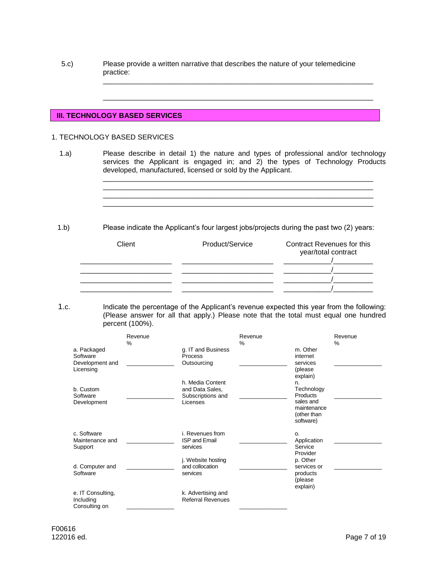5.c) Please provide a written narrative that describes the nature of your telemedicine practice:

## **III. TECHNOLOGY BASED SERVICES**

#### 1. TECHNOLOGY BASED SERVICES

 1.a) Please describe in detail 1) the nature and types of professional and/or technology services the Applicant is engaged in; and 2) the types of Technology Products developed, manufactured, licensed or sold by the Applicant.

\_\_\_\_\_\_\_\_\_\_\_\_\_\_\_\_\_\_\_\_\_\_\_\_\_\_\_\_\_\_\_\_\_\_\_\_\_\_\_\_\_\_\_\_\_\_\_\_\_\_\_\_\_\_\_\_\_\_\_\_\_\_\_\_\_\_\_\_

\_\_\_\_\_\_\_\_\_\_\_\_\_\_\_\_\_\_\_\_\_\_\_\_\_\_\_\_\_\_\_\_\_\_\_\_\_\_\_\_\_\_\_\_\_\_\_\_\_\_\_\_\_\_\_\_\_\_\_\_\_\_\_\_\_\_\_\_

 $\overline{\phantom{a}}$  ,  $\overline{\phantom{a}}$  ,  $\overline{\phantom{a}}$  ,  $\overline{\phantom{a}}$  ,  $\overline{\phantom{a}}$  ,  $\overline{\phantom{a}}$  ,  $\overline{\phantom{a}}$  ,  $\overline{\phantom{a}}$  ,  $\overline{\phantom{a}}$  ,  $\overline{\phantom{a}}$  ,  $\overline{\phantom{a}}$  ,  $\overline{\phantom{a}}$  ,  $\overline{\phantom{a}}$  ,  $\overline{\phantom{a}}$  ,  $\overline{\phantom{a}}$  ,  $\overline{\phantom{a}}$ \_\_\_\_\_\_\_\_\_\_\_\_\_\_\_\_\_\_\_\_\_\_\_\_\_\_\_\_\_\_\_\_\_\_\_\_\_\_\_\_\_\_\_\_\_\_\_\_\_\_\_\_\_\_\_\_\_\_\_\_\_\_\_\_\_\_\_\_  $\overline{\phantom{a}}$  ,  $\overline{\phantom{a}}$  ,  $\overline{\phantom{a}}$  ,  $\overline{\phantom{a}}$  ,  $\overline{\phantom{a}}$  ,  $\overline{\phantom{a}}$  ,  $\overline{\phantom{a}}$  ,  $\overline{\phantom{a}}$  ,  $\overline{\phantom{a}}$  ,  $\overline{\phantom{a}}$  ,  $\overline{\phantom{a}}$  ,  $\overline{\phantom{a}}$  ,  $\overline{\phantom{a}}$  ,  $\overline{\phantom{a}}$  ,  $\overline{\phantom{a}}$  ,  $\overline{\phantom{a}}$ \_\_\_\_\_\_\_\_\_\_\_\_\_\_\_\_\_\_\_\_\_\_\_\_\_\_\_\_\_\_\_\_\_\_\_\_\_\_\_\_\_\_\_\_\_\_\_\_\_\_\_\_\_\_\_\_\_\_\_\_\_\_\_\_\_\_\_\_

1.b) Please indicate the Applicant's four largest jobs/projects during the past two (2) years:

| Client | Product/Service | <b>Contract Revenues for this</b><br>year/total contract |
|--------|-----------------|----------------------------------------------------------|
|        |                 |                                                          |
|        |                 |                                                          |
|        |                 |                                                          |

 1.c. Indicate the percentage of the Applicant's revenue expected this year from the following: (Please answer for all that apply.) Please note that the total must equal one hundred percent (100%).

| a. Packaged<br>Software<br>Development and<br>Licensing | Revenue<br>% | g. IT and Business<br>Process<br>Outsourcing                         | Revenue<br>$\frac{9}{6}$ | m. Other<br>internet<br>services<br>(please)                                                     | Revenue<br>$\%$ |
|---------------------------------------------------------|--------------|----------------------------------------------------------------------|--------------------------|--------------------------------------------------------------------------------------------------|-----------------|
| b. Custom<br>Software<br>Development                    |              | h. Media Content<br>and Data Sales,<br>Subscriptions and<br>Licenses |                          | explain)<br>n.<br>Technology<br>Products<br>sales and<br>maintenance<br>(other than<br>software) |                 |
| c. Software<br>Maintenance and<br>Support               |              | i. Revenues from<br><b>ISP and Email</b><br>services                 |                          | 0.<br>Application<br>Service<br>Provider                                                         |                 |
| d. Computer and<br>Software                             |              | j. Website hosting<br>and collocation<br>services                    |                          | p. Other<br>services or<br>products<br>(please                                                   |                 |
| e. IT Consulting,<br>Including<br>Consulting on         |              | k. Advertising and<br><b>Referral Revenues</b>                       |                          | explain)                                                                                         |                 |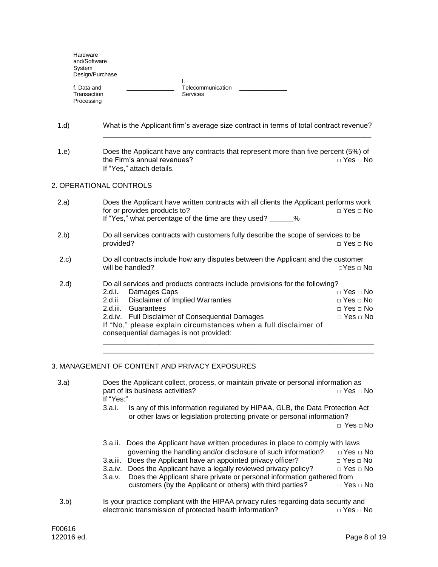| Hardware<br>and/Software<br>System<br>Design/Purchase |                                            |  |
|-------------------------------------------------------|--------------------------------------------|--|
| f. Data and<br>Transaction<br>Processing              | ٠.<br>Telecommunication<br><b>Services</b> |  |

| 1.d) | What is the Applicant firm's average size contract in terms of total contract revenue?                             |                      |
|------|--------------------------------------------------------------------------------------------------------------------|----------------------|
| 1.e  | Does the Applicant have any contracts that represent more than five percent (5%) of<br>the Firm's annual revenues? | $\Box$ Yes $\Box$ No |

### 2. OPERATIONAL CONTROLS

If "Yes," attach details.

| (2.a) | Does the Applicant have written contracts with all clients the Applicant performs work<br>for or provides products to?<br>$\Box$ Yes $\Box$ No<br>If "Yes," what percentage of the time are they used? _______%                                                                                                                                                                                                                                  |  |  |
|-------|--------------------------------------------------------------------------------------------------------------------------------------------------------------------------------------------------------------------------------------------------------------------------------------------------------------------------------------------------------------------------------------------------------------------------------------------------|--|--|
| (2.b) | Do all services contracts with customers fully describe the scope of services to be<br>$\Box$ Yes $\Box$ No<br>provided?                                                                                                                                                                                                                                                                                                                         |  |  |
| 2.c)  | Do all contracts include how any disputes between the Applicant and the customer<br>$\sqcap$ Yes $\sqcap$ No<br>will be handled?                                                                                                                                                                                                                                                                                                                 |  |  |
| 2.d)  | Do all services and products contracts include provisions for the following?<br>2.d.i.<br>$\Box$ Yes $\Box$ No<br>Damages Caps<br>Disclaimer of Implied Warranties<br>$\Box$ Yes $\Box$ No<br>2.d.ii.<br>$\Box$ Yes $\Box$ No<br>2.d.iii.<br>Guarantees<br>$\Box$ Yes $\Box$ No<br>2.d.iv. Full Disclaimer of Consequential Damages<br>If "No," please explain circumstances when a full disclaimer of<br>consequential damages is not provided: |  |  |

\_\_\_\_\_\_\_\_\_\_\_\_\_\_\_\_\_\_\_\_\_\_\_\_\_\_\_\_\_\_\_\_\_\_\_\_\_\_\_\_\_\_\_\_\_\_\_\_\_\_\_\_\_\_\_\_\_\_\_\_\_\_\_\_\_\_\_

### 3. MANAGEMENT OF CONTENT AND PRIVACY EXPOSURES

| 3.a) | Does the Applicant collect, process, or maintain private or personal information as<br>part of its business activities?<br>$\sqcap$ Yes $\sqcap$ No<br>If "Yes:"             |
|------|------------------------------------------------------------------------------------------------------------------------------------------------------------------------------|
|      | Is any of this information regulated by HIPAA, GLB, the Data Protection Act<br>3.a.i.<br>or other laws or legislation protecting private or personal information?            |
|      | $\Box$ Yes $\Box$ No                                                                                                                                                         |
|      | 3.a.ii. Does the Applicant have written procedures in place to comply with laws<br>governing the handling and/or disclosure of such information?<br>$\sqcap$ Yes $\sqcap$ No |
|      | 3.a.iii. Does the Applicant have an appointed privacy officer?<br>$\Box$ Yes $\Box$ No                                                                                       |
|      | 3.a.iv. Does the Applicant have a legally reviewed privacy policy?<br>$\Box$ Yes $\Box$ No                                                                                   |
|      | Does the Applicant share private or personal information gathered from<br>3.a.v.                                                                                             |
|      | customers (by the Applicant or others) with third parties?<br>$\Box$ Yes $\Box$ No                                                                                           |
| 3.b) | Is your practice compliant with the HIPAA privacy rules regarding data security and<br>electronic transmission of protected health information?<br>$\Box$ Yes $\Box$ No      |
|      |                                                                                                                                                                              |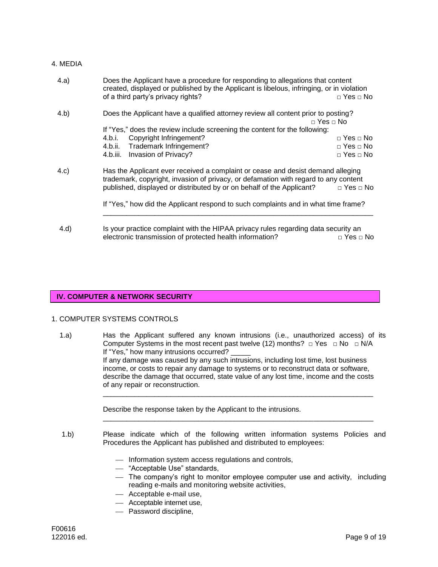#### 4. MEDIA

| 4.a)                                                                                                                                                                                                                                                    | Does the Applicant have a procedure for responding to allegations that content<br>created, displayed or published by the Applicant is libelous, infringing, or in violation |                          |  |
|---------------------------------------------------------------------------------------------------------------------------------------------------------------------------------------------------------------------------------------------------------|-----------------------------------------------------------------------------------------------------------------------------------------------------------------------------|--------------------------|--|
|                                                                                                                                                                                                                                                         | of a third party's privacy rights?                                                                                                                                          | $\Box$ Yes $\Box$ No     |  |
| 4.b)                                                                                                                                                                                                                                                    | Does the Applicant have a qualified attorney review all content prior to posting?                                                                                           | $\sqcap$ Yes $\sqcap$ No |  |
|                                                                                                                                                                                                                                                         | If "Yes," does the review include screening the content for the following:                                                                                                  |                          |  |
|                                                                                                                                                                                                                                                         | Copyright Infringement?<br>4.b.i.                                                                                                                                           | $\Box$ Yes $\Box$ No     |  |
|                                                                                                                                                                                                                                                         | 4.b.ii. Trademark Infringement?                                                                                                                                             | $\Box$ Yes $\Box$ No     |  |
|                                                                                                                                                                                                                                                         | Invasion of Privacy?<br>4.b.iii.                                                                                                                                            | $\sqcap$ Yes $\sqcap$ No |  |
| Has the Applicant ever received a complaint or cease and desist demand alleging<br>4.c)<br>trademark, copyright, invasion of privacy, or defamation with regard to any content<br>published, displayed or distributed by or on behalf of the Applicant? |                                                                                                                                                                             | $\Box$ Yes $\Box$ No     |  |
|                                                                                                                                                                                                                                                         | If "Yes," how did the Applicant respond to such complaints and in what time frame?                                                                                          |                          |  |
| 4.d)                                                                                                                                                                                                                                                    | Is your practice complaint with the HIPAA privacy rules regarding data security an<br>electronic transmission of protected health information?                              | $\Box$ Yes $\Box$ No     |  |

#### **IV. COMPUTER & NETWORK SECURITY**

## 1. COMPUTER SYSTEMS CONTROLS

1.a) Has the Applicant suffered any known intrusions (i.e., unauthorized access) of its Computer Systems in the most recent past twelve (12) months?  $\Box$  Yes  $\Box$  No  $\Box$  N/A If "Yes," how many intrusions occurred? If any damage was caused by any such intrusions, including lost time, lost business income, or costs to repair any damage to systems or to reconstruct data or software, describe the damage that occurred, state value of any lost time, income and the costs of any repair or reconstruction.  $\overline{\phantom{a}}$  ,  $\overline{\phantom{a}}$  ,  $\overline{\phantom{a}}$  ,  $\overline{\phantom{a}}$  ,  $\overline{\phantom{a}}$  ,  $\overline{\phantom{a}}$  ,  $\overline{\phantom{a}}$  ,  $\overline{\phantom{a}}$  ,  $\overline{\phantom{a}}$  ,  $\overline{\phantom{a}}$  ,  $\overline{\phantom{a}}$  ,  $\overline{\phantom{a}}$  ,  $\overline{\phantom{a}}$  ,  $\overline{\phantom{a}}$  ,  $\overline{\phantom{a}}$  ,  $\overline{\phantom{a}}$ 

Describe the response taken by the Applicant to the intrusions.

1.b) Please indicate which of the following written information systems Policies and Procedures the Applicant has published and distributed to employees:

 $\overline{\phantom{a}}$  ,  $\overline{\phantom{a}}$  ,  $\overline{\phantom{a}}$  ,  $\overline{\phantom{a}}$  ,  $\overline{\phantom{a}}$  ,  $\overline{\phantom{a}}$  ,  $\overline{\phantom{a}}$  ,  $\overline{\phantom{a}}$  ,  $\overline{\phantom{a}}$  ,  $\overline{\phantom{a}}$  ,  $\overline{\phantom{a}}$  ,  $\overline{\phantom{a}}$  ,  $\overline{\phantom{a}}$  ,  $\overline{\phantom{a}}$  ,  $\overline{\phantom{a}}$  ,  $\overline{\phantom{a}}$ 

- $-$  Information system access regulations and controls,
- "Acceptable Use" standards,
- The company's right to monitor employee computer use and activity, including reading e-mails and monitoring website activities,
- Acceptable e-mail use,
- Acceptable internet use,
- Password discipline,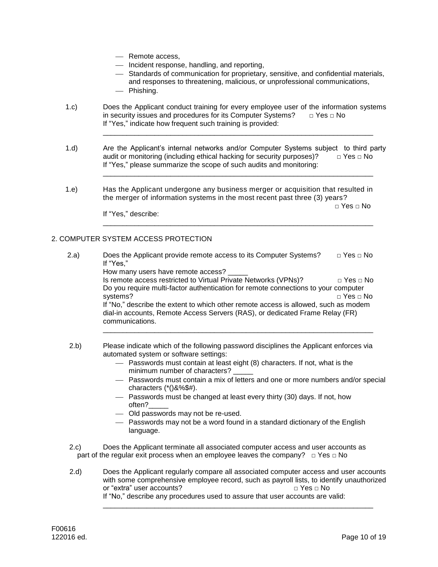- Remote access,
- Incident response, handling, and reporting,
- Standards of communication for proprietary, sensitive, and confidential materials, and responses to threatening, malicious, or unprofessional communications,
- Phishing.
- 1.c) Does the Applicant conduct training for every employee user of the information systems in security issues and procedures for its Computer Systems?  $\Box$  Yes  $\Box$  No If "Yes," indicate how frequent such training is provided:

\_\_\_\_\_\_\_\_\_\_\_\_\_\_\_\_\_\_\_\_\_\_\_\_\_\_\_\_\_\_\_\_\_\_\_\_\_\_\_\_\_\_\_\_\_\_\_\_\_\_\_\_\_\_\_\_\_\_\_\_\_\_\_\_\_\_\_\_

 $\overline{\phantom{a}}$  ,  $\overline{\phantom{a}}$  ,  $\overline{\phantom{a}}$  ,  $\overline{\phantom{a}}$  ,  $\overline{\phantom{a}}$  ,  $\overline{\phantom{a}}$  ,  $\overline{\phantom{a}}$  ,  $\overline{\phantom{a}}$  ,  $\overline{\phantom{a}}$  ,  $\overline{\phantom{a}}$  ,  $\overline{\phantom{a}}$  ,  $\overline{\phantom{a}}$  ,  $\overline{\phantom{a}}$  ,  $\overline{\phantom{a}}$  ,  $\overline{\phantom{a}}$  ,  $\overline{\phantom{a}}$ 

 $\overline{\phantom{a}}$  ,  $\overline{\phantom{a}}$  ,  $\overline{\phantom{a}}$  ,  $\overline{\phantom{a}}$  ,  $\overline{\phantom{a}}$  ,  $\overline{\phantom{a}}$  ,  $\overline{\phantom{a}}$  ,  $\overline{\phantom{a}}$  ,  $\overline{\phantom{a}}$  ,  $\overline{\phantom{a}}$  ,  $\overline{\phantom{a}}$  ,  $\overline{\phantom{a}}$  ,  $\overline{\phantom{a}}$  ,  $\overline{\phantom{a}}$  ,  $\overline{\phantom{a}}$  ,  $\overline{\phantom{a}}$ 

- 1.d) Are the Applicant's internal networks and/or Computer Systems subject to third party audit or monitoring (including ethical hacking for security purposes)?  $\Box$  Yes  $\Box$  No If "Yes," please summarize the scope of such audits and monitoring:
- 1.e) Has the Applicant undergone any business merger or acquisition that resulted in the merger of information systems in the most recent past three (3) years?

□ Yes □ No

If "Yes," describe:

## 2. COMPUTER SYSTEM ACCESS PROTECTION

- 2.a) Does the Applicant provide remote access to its Computer Systems?  $\Box$  Yes  $\Box$  No If "Yes," How many users have remote access? Is remote access restricted to Virtual Private Networks (VPNs)?  $\Box$  Yes  $\Box$  No Do you require multi-factor authentication for remote connections to your computer systems? □ Yes □ No If "No," describe the extent to which other remote access is allowed, such as modem dial-in accounts, Remote Access Servers (RAS), or dedicated Frame Relay (FR) communications.  $\overline{\phantom{a}}$  ,  $\overline{\phantom{a}}$  ,  $\overline{\phantom{a}}$  ,  $\overline{\phantom{a}}$  ,  $\overline{\phantom{a}}$  ,  $\overline{\phantom{a}}$  ,  $\overline{\phantom{a}}$  ,  $\overline{\phantom{a}}$  ,  $\overline{\phantom{a}}$  ,  $\overline{\phantom{a}}$  ,  $\overline{\phantom{a}}$  ,  $\overline{\phantom{a}}$  ,  $\overline{\phantom{a}}$  ,  $\overline{\phantom{a}}$  ,  $\overline{\phantom{a}}$  ,  $\overline{\phantom{a}}$
- 2.b) Please indicate which of the following password disciplines the Applicant enforces via automated system or software settings:
	- Passwords must contain at least eight (8) characters. If not, what is the minimum number of characters?
	- Passwords must contain a mix of letters and one or more numbers and/or special characters  $(*()8\%$ \$#).
	- Passwords must be changed at least every thirty (30) days. If not, how often?\_\_\_\_\_
	- Old passwords may not be re-used.
	- Passwords may not be a word found in a standard dictionary of the English language.
- 2.c) Does the Applicant terminate all associated computer access and user accounts as part of the regular exit process when an employee leaves the company?  $□$  Yes  $□$  No
- 2.d) Does the Applicant regularly compare all associated computer access and user accounts with some comprehensive employee record, such as payroll lists, to identify unauthorized or "extra" user accounts? □ □ Yes □ No If "No," describe any procedures used to assure that user accounts are valid: \_\_\_\_\_\_\_\_\_\_\_\_\_\_\_\_\_\_\_\_\_\_\_\_\_\_\_\_\_\_\_\_\_\_\_\_\_\_\_\_\_\_\_\_\_\_\_\_\_\_\_\_\_\_\_\_\_\_\_\_\_\_\_\_\_\_\_\_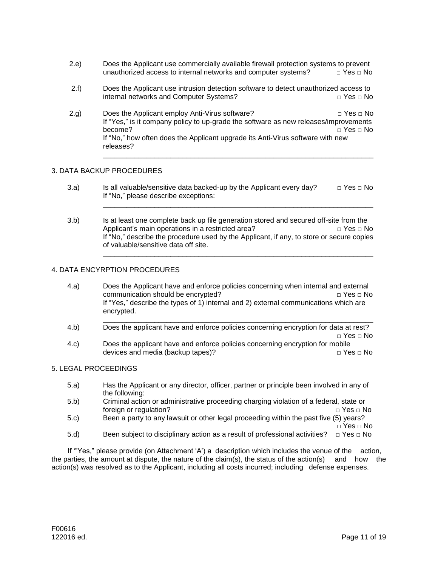- 2.e) Does the Applicant use commercially available firewall protection systems to prevent unauthorized access to internal networks and computer systems?  $\Box$  Yes  $\Box$  No
- 2.f) Does the Applicant use intrusion detection software to detect unauthorized access to internal networks and Computer Systems? □ Yes □ No
- 2.g) Does the Applicant employ Anti-Virus software?  $\Box$  Yes  $\Box$  No If "Yes," is it company policy to up-grade the software as new releases/improvements become? □ Yes □ No If "No," how often does the Applicant upgrade its Anti-Virus software with new releases?

\_\_\_\_\_\_\_\_\_\_\_\_\_\_\_\_\_\_\_\_\_\_\_\_\_\_\_\_\_\_\_\_\_\_\_\_\_\_\_\_\_\_\_\_\_\_\_\_\_\_\_\_\_\_\_\_\_\_\_\_\_\_\_\_\_\_\_\_

\_\_\_\_\_\_\_\_\_\_\_\_\_\_\_\_\_\_\_\_\_\_\_\_\_\_\_\_\_\_\_\_\_\_\_\_\_\_\_\_\_\_\_\_\_\_\_\_\_\_\_\_\_\_\_\_\_\_\_\_\_\_\_\_\_\_\_\_

\_\_\_\_\_\_\_\_\_\_\_\_\_\_\_\_\_\_\_\_\_\_\_\_\_\_\_\_\_\_\_\_\_\_\_\_\_\_\_\_\_\_\_\_\_\_\_\_\_\_\_\_\_\_\_\_\_\_\_\_\_\_\_\_\_\_\_\_

### 3. DATA BACKUP PROCEDURES

- 3.a) Is all valuable/sensitive data backed-up by the Applicant every day?  $\Box$  Yes  $\Box$  No If "No," please describe exceptions:
- 3.b) Is at least one complete back up file generation stored and secured off-site from the Applicant's main operations in a restricted area?  $\Box$  Yes  $\Box$  No If "No," describe the procedure used by the Applicant, if any, to store or secure copies of valuable/sensitive data off site.

## 4. DATA ENCYRPTION PROCEDURES

- 4.a) Does the Applicant have and enforce policies concerning when internal and external communication should be encrypted?  $□$   $\Box$  Yes  $□$  No If "Yes," describe the types of 1) internal and 2) external communications which are encrypted.
- \_\_\_\_\_\_\_\_\_\_\_\_\_\_\_\_\_\_\_\_\_\_\_\_\_\_\_\_\_\_\_\_\_\_\_\_\_\_\_\_\_\_\_\_\_\_\_\_\_\_\_\_\_\_\_\_\_\_\_\_\_\_\_\_\_\_\_\_ 4.b) Does the applicant have and enforce policies concerning encryption for data at rest? □ Yes □ No
- 4.c) Does the applicant have and enforce policies concerning encryption for mobile devices and media (backup tapes)?  $\Box$   $\Box$  Yes  $\Box$  No

### 5. LEGAL PROCEEDINGS

- 5.a) Has the Applicant or any director, officer, partner or principle been involved in any of the following:
- 5.b) Criminal action or administrative proceeding charging violation of a federal, state or foreign or regulation? □ Yes □ No
- 5.c) Been a party to any lawsuit or other legal proceeding within the past five (5) years? □ Yes □ No
- 5.d) Been subject to disciplinary action as a result of professional activities?  $\Box$  Yes  $\Box$  No

If '"Yes," please provide (on Attachment 'A') a description which includes the venue of the action, the parties, the amount at dispute, the nature of the claim(s), the status of the action(s) and how the action(s) was resolved as to the Applicant, including all costs incurred; including defense expenses.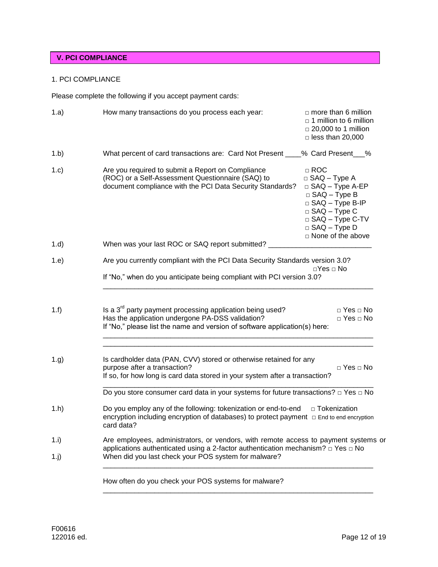# **V. PCI COMPLIANCE**

## 1. PCI COMPLIANCE

Please complete the following if you accept payment cards:

| 1.a)            | How many transactions do you process each year:<br>$\Box$ more than 6 million<br>$\Box$ 1 million to 6 million<br>$\Box$ 20,000 to 1 million<br>$\Box$ less than 20,000                                                                                                                                                                                                  |  |  |  |
|-----------------|--------------------------------------------------------------------------------------------------------------------------------------------------------------------------------------------------------------------------------------------------------------------------------------------------------------------------------------------------------------------------|--|--|--|
| 1.b)            | What percent of card transactions are: Card Not Present ____% Card Present___%                                                                                                                                                                                                                                                                                           |  |  |  |
| 1.c)            | Are you required to submit a Report on Compliance<br>$\Box$ ROC<br>(ROC) or a Self-Assessment Questionnaire (SAQ) to<br>$\Box$ SAQ - Type A<br>document compliance with the PCI Data Security Standards?<br>□ SAQ - Type A-EP<br>$\Box$ SAQ - Type B<br>□ SAQ - Type B-IP<br>$\Box$ SAQ - Type C<br>□ SAQ - Type C-TV<br>$\Box$ SAQ - Type D<br>$\Box$ None of the above |  |  |  |
| 1.d)            | When was your last ROC or SAQ report submitted? _<br>the contract of the contract of the contract of the contract of                                                                                                                                                                                                                                                     |  |  |  |
| 1.e)            | Are you currently compliant with the PCI Data Security Standards version 3.0?<br>$\Box$ Yes $\Box$ No<br>If "No," when do you anticipate being compliant with PCI version 3.0?                                                                                                                                                                                           |  |  |  |
| 1.f)            | Is a $3rd$ party payment processing application being used?<br>$\Box$ Yes $\Box$ No<br>Has the application undergone PA-DSS validation?<br>$\Box$ Yes $\Box$ No<br>If "No," please list the name and version of software application(s) here:                                                                                                                            |  |  |  |
| 1.g)            | Is cardholder data (PAN, CVV) stored or otherwise retained for any<br>purpose after a transaction?<br>$\Box$ Yes $\Box$ No<br>If so, for how long is card data stored in your system after a transaction?<br>Do you store consumer card data in your systems for future transactions? $\Box$ Yes $\Box$ No                                                               |  |  |  |
| 1.h)            | Do you employ any of the following: tokenization or end-to-end<br>□ Tokenization<br>encryption including encryption of databases) to protect payment □ End to end encryption<br>card data?                                                                                                                                                                               |  |  |  |
| 1.1)<br>$1$ .j) | Are employees, administrators, or vendors, with remote access to payment systems or<br>applications authenticated using a 2-factor authentication mechanism? $\Box$ Yes $\Box$ No<br>When did you last check your POS system for malware?                                                                                                                                |  |  |  |
|                 | How often do you check your POS systems for malware?                                                                                                                                                                                                                                                                                                                     |  |  |  |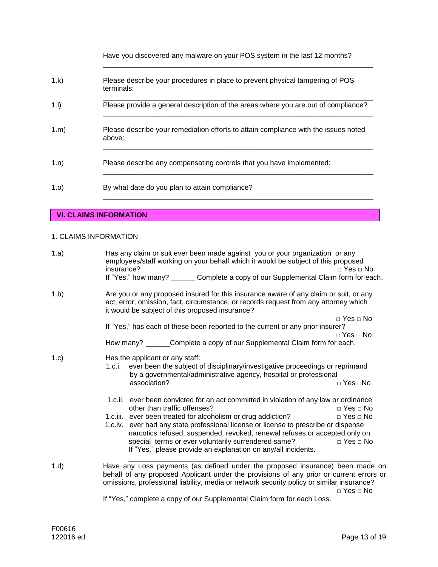Have you discovered any malware on your POS system in the last 12 months?

 $\overline{\phantom{a}}$  ,  $\overline{\phantom{a}}$  ,  $\overline{\phantom{a}}$  ,  $\overline{\phantom{a}}$  ,  $\overline{\phantom{a}}$  ,  $\overline{\phantom{a}}$  ,  $\overline{\phantom{a}}$  ,  $\overline{\phantom{a}}$  ,  $\overline{\phantom{a}}$  ,  $\overline{\phantom{a}}$  ,  $\overline{\phantom{a}}$  ,  $\overline{\phantom{a}}$  ,  $\overline{\phantom{a}}$  ,  $\overline{\phantom{a}}$  ,  $\overline{\phantom{a}}$  ,  $\overline{\phantom{a}}$ 

\_\_\_\_\_\_\_\_\_\_\_\_\_\_\_\_\_\_\_\_\_\_\_\_\_\_\_\_\_\_\_\_\_\_\_\_\_\_\_\_\_\_\_\_\_\_\_\_\_\_\_\_\_\_\_\_\_\_\_\_\_\_\_\_\_\_\_\_

\_\_\_\_\_\_\_\_\_\_\_\_\_\_\_\_\_\_\_\_\_\_\_\_\_\_\_\_\_\_\_\_\_\_\_\_\_\_\_\_\_\_\_\_\_\_\_\_\_\_\_\_\_\_\_\_\_\_\_\_\_\_\_\_\_\_\_\_

 $\overline{\phantom{a}}$  ,  $\overline{\phantom{a}}$  ,  $\overline{\phantom{a}}$  ,  $\overline{\phantom{a}}$  ,  $\overline{\phantom{a}}$  ,  $\overline{\phantom{a}}$  ,  $\overline{\phantom{a}}$  ,  $\overline{\phantom{a}}$  ,  $\overline{\phantom{a}}$  ,  $\overline{\phantom{a}}$  ,  $\overline{\phantom{a}}$  ,  $\overline{\phantom{a}}$  ,  $\overline{\phantom{a}}$  ,  $\overline{\phantom{a}}$  ,  $\overline{\phantom{a}}$  ,  $\overline{\phantom{a}}$ 

- 1.k) Please describe your procedures in place to prevent physical tampering of POS terminals:
- \_\_\_\_\_\_\_\_\_\_\_\_\_\_\_\_\_\_\_\_\_\_\_\_\_\_\_\_\_\_\_\_\_\_\_\_\_\_\_\_\_\_\_\_\_\_\_\_\_\_\_\_\_\_\_\_\_\_\_\_\_\_\_\_\_\_\_\_ 1.l) Please provide a general description of the areas where you are out of compliance?  $\overline{\phantom{a}}$  ,  $\overline{\phantom{a}}$  ,  $\overline{\phantom{a}}$  ,  $\overline{\phantom{a}}$  ,  $\overline{\phantom{a}}$  ,  $\overline{\phantom{a}}$  ,  $\overline{\phantom{a}}$  ,  $\overline{\phantom{a}}$  ,  $\overline{\phantom{a}}$  ,  $\overline{\phantom{a}}$  ,  $\overline{\phantom{a}}$  ,  $\overline{\phantom{a}}$  ,  $\overline{\phantom{a}}$  ,  $\overline{\phantom{a}}$  ,  $\overline{\phantom{a}}$  ,  $\overline{\phantom{a}}$ 1.m) Please describe your remediation efforts to attain compliance with the issues noted above:
- 1.n) Please describe any compensating controls that you have implemented:
- 1.o) By what date do you plan to attain compliance?

## **VI. CLAIMS INFORMATION**

### 1. CLAIMS INFORMATION

| 1.a) | Has any claim or suit ever been made against you or your organization or any<br>employees/staff working on your behalf which it would be subject of this proposed<br>insurance?<br>$\Box$ Yes $\Box$ No<br>If "Yes," how many? ______ Complete a copy of our Supplemental Claim form for each.                                                                                            |                                                                      |  |  |
|------|-------------------------------------------------------------------------------------------------------------------------------------------------------------------------------------------------------------------------------------------------------------------------------------------------------------------------------------------------------------------------------------------|----------------------------------------------------------------------|--|--|
| 1.b) | Are you or any proposed insured for this insurance aware of any claim or suit, or any<br>act, error, omission, fact, circumstance, or records request from any attorney which<br>it would be subject of this proposed insurance?                                                                                                                                                          |                                                                      |  |  |
|      | If "Yes," has each of these been reported to the current or any prior insurer?                                                                                                                                                                                                                                                                                                            | $\Box$ Yes $\Box$ No<br>$\Box$ Yes $\Box$ No                         |  |  |
|      | How many? ______Complete a copy of our Supplemental Claim form for each.                                                                                                                                                                                                                                                                                                                  |                                                                      |  |  |
| 1.c) | Has the applicant or any staff:<br>1.c.i. ever been the subject of disciplinary/investigative proceedings or reprimand<br>by a governmental/administrative agency, hospital or professional<br>association?                                                                                                                                                                               | □ Yes □No                                                            |  |  |
|      | 1.c.ii. ever been convicted for an act committed in violation of any law or ordinance                                                                                                                                                                                                                                                                                                     |                                                                      |  |  |
|      | other than traffic offenses?<br>1.c.iii. ever been treated for alcoholism or drug addiction?<br>1.c.iv. ever had any state professional license or license to prescribe or dispense<br>narcotics refused, suspended, revoked, renewal refuses or accepted only on<br>special terms or ever voluntarily surrendered same?<br>If "Yes," please provide an explanation on any/all incidents. | $\Box$ Yes $\Box$ No<br>$\Box$ Yes $\Box$ No<br>$\Box$ Yes $\Box$ No |  |  |
| 1.d) | Have any Loss payments (as defined under the proposed insurance) been made on<br>behalf of any proposed Applicant under the provisions of any prior or current errors or<br>omissions, professional liability, media or network security policy or similar insurance?                                                                                                                     | $\Box$ Yes $\Box$ No                                                 |  |  |
|      | If "Yes," complete a copy of our Supplemental Claim form for each Loss.                                                                                                                                                                                                                                                                                                                   |                                                                      |  |  |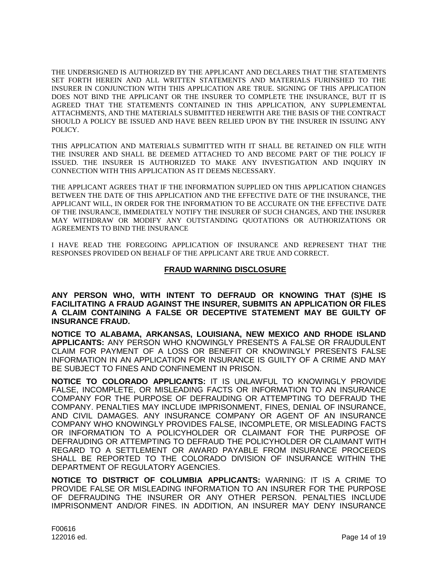THE UNDERSIGNED IS AUTHORIZED BY THE APPLICANT AND DECLARES THAT THE STATEMENTS SET FORTH HEREIN AND ALL WRITTEN STATEMENTS AND MATERIALS FURINSHED TO THE INSURER IN CONJUNCTION WITH THIS APPLICATION ARE TRUE. SIGNING OF THIS APPLICATION DOES NOT BIND THE APPLICANT OR THE INSURER TO COMPLETE THE INSURANCE, BUT IT IS AGREED THAT THE STATEMENTS CONTAINED IN THIS APPLICATION, ANY SUPPLEMENTAL ATTACHMENTS, AND THE MATERIALS SUBMITTED HEREWITH ARE THE BASIS OF THE CONTRACT SHOULD A POLICY BE ISSUED AND HAVE BEEN RELIED UPON BY THE INSURER IN ISSUING ANY POLICY.

THIS APPLICATION AND MATERIALS SUBMITTED WITH IT SHALL BE RETAINED ON FILE WITH THE INSURER AND SHALL BE DEEMED ATTACHED TO AND BECOME PART OF THE POLICY IF ISSUED. THE INSURER IS AUTHORIZED TO MAKE ANY INVESTIGATION AND INQUIRY IN CONNECTION WITH THIS APPLICATION AS IT DEEMS NECESSARY.

THE APPLICANT AGREES THAT IF THE INFORMATION SUPPLIED ON THIS APPLICATION CHANGES BETWEEN THE DATE OF THIS APPLICATION AND THE EFFECTIVE DATE OF THE INSURANCE, THE APPLICANT WILL, IN ORDER FOR THE INFORMATION TO BE ACCURATE ON THE EFFECTIVE DATE OF THE INSURANCE, IMMEDIATELY NOTIFY THE INSURER OF SUCH CHANGES, AND THE INSURER MAY WITHDRAW OR MODIFY ANY OUTSTANDING QUOTATIONS OR AUTHORIZATIONS OR AGREEMENTS TO BIND THE INSURANCE

I HAVE READ THE FOREGOING APPLICATION OF INSURANCE AND REPRESENT THAT THE RESPONSES PROVIDED ON BEHALF OF THE APPLICANT ARE TRUE AND CORRECT.

## **FRAUD WARNING DISCLOSURE**

**ANY PERSON WHO, WITH INTENT TO DEFRAUD OR KNOWING THAT (S)HE IS FACILITATING A FRAUD AGAINST THE INSURER, SUBMITS AN APPLICATION OR FILES A CLAIM CONTAINING A FALSE OR DECEPTIVE STATEMENT MAY BE GUILTY OF INSURANCE FRAUD.**

**NOTICE TO ALABAMA, ARKANSAS, LOUISIANA, NEW MEXICO AND RHODE ISLAND APPLICANTS:** ANY PERSON WHO KNOWINGLY PRESENTS A FALSE OR FRAUDULENT CLAIM FOR PAYMENT OF A LOSS OR BENEFIT OR KNOWINGLY PRESENTS FALSE INFORMATION IN AN APPLICATION FOR INSURANCE IS GUILTY OF A CRIME AND MAY BE SUBJECT TO FINES AND CONFINEMENT IN PRISON.

**NOTICE TO COLORADO APPLICANTS:** IT IS UNLAWFUL TO KNOWINGLY PROVIDE FALSE, INCOMPLETE, OR MISLEADING FACTS OR INFORMATION TO AN INSURANCE COMPANY FOR THE PURPOSE OF DEFRAUDING OR ATTEMPTING TO DEFRAUD THE COMPANY. PENALTIES MAY INCLUDE IMPRISONMENT, FINES, DENIAL OF INSURANCE, AND CIVIL DAMAGES. ANY INSURANCE COMPANY OR AGENT OF AN INSURANCE COMPANY WHO KNOWINGLY PROVIDES FALSE, INCOMPLETE, OR MISLEADING FACTS OR INFORMATION TO A POLICYHOLDER OR CLAIMANT FOR THE PURPOSE OF DEFRAUDING OR ATTEMPTING TO DEFRAUD THE POLICYHOLDER OR CLAIMANT WITH REGARD TO A SETTLEMENT OR AWARD PAYABLE FROM INSURANCE PROCEEDS SHALL BE REPORTED TO THE COLORADO DIVISION OF INSURANCE WITHIN THE DEPARTMENT OF REGULATORY AGENCIES.

**NOTICE TO DISTRICT OF COLUMBIA APPLICANTS:** WARNING: IT IS A CRIME TO PROVIDE FALSE OR MISLEADING INFORMATION TO AN INSURER FOR THE PURPOSE OF DEFRAUDING THE INSURER OR ANY OTHER PERSON. PENALTIES INCLUDE IMPRISONMENT AND/OR FINES. IN ADDITION, AN INSURER MAY DENY INSURANCE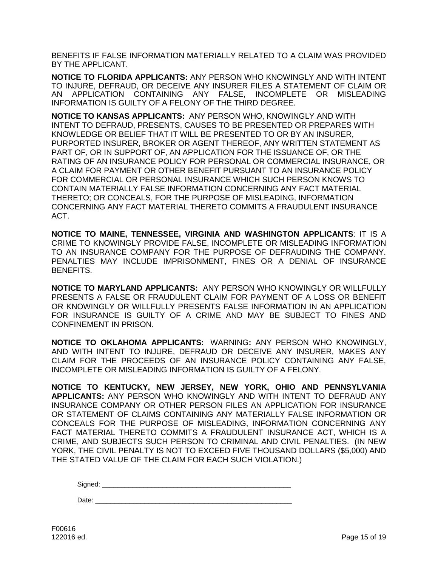BENEFITS IF FALSE INFORMATION MATERIALLY RELATED TO A CLAIM WAS PROVIDED BY THE APPLICANT.

**NOTICE TO FLORIDA APPLICANTS:** ANY PERSON WHO KNOWINGLY AND WITH INTENT TO INJURE, DEFRAUD, OR DECEIVE ANY INSURER FILES A STATEMENT OF CLAIM OR AN APPLICATION CONTAINING ANY FALSE, INCOMPLETE OR MISLEADING INFORMATION IS GUILTY OF A FELONY OF THE THIRD DEGREE.

**NOTICE TO KANSAS APPLICANTS:** ANY PERSON WHO, KNOWINGLY AND WITH INTENT TO DEFRAUD, PRESENTS, CAUSES TO BE PRESENTED OR PREPARES WITH KNOWLEDGE OR BELIEF THAT IT WILL BE PRESENTED TO OR BY AN INSURER, PURPORTED INSURER, BROKER OR AGENT THEREOF, ANY WRITTEN STATEMENT AS PART OF, OR IN SUPPORT OF, AN APPLICATION FOR THE ISSUANCE OF, OR THE RATING OF AN INSURANCE POLICY FOR PERSONAL OR COMMERCIAL INSURANCE, OR A CLAIM FOR PAYMENT OR OTHER BENEFIT PURSUANT TO AN INSURANCE POLICY FOR COMMERCIAL OR PERSONAL INSURANCE WHICH SUCH PERSON KNOWS TO CONTAIN MATERIALLY FALSE INFORMATION CONCERNING ANY FACT MATERIAL THERETO; OR CONCEALS, FOR THE PURPOSE OF MISLEADING, INFORMATION CONCERNING ANY FACT MATERIAL THERETO COMMITS A FRAUDULENT INSURANCE ACT.

**NOTICE TO MAINE, TENNESSEE, VIRGINIA AND WASHINGTON APPLICANTS**: IT IS A CRIME TO KNOWINGLY PROVIDE FALSE, INCOMPLETE OR MISLEADING INFORMATION TO AN INSURANCE COMPANY FOR THE PURPOSE OF DEFRAUDING THE COMPANY. PENALTIES MAY INCLUDE IMPRISONMENT, FINES OR A DENIAL OF INSURANCE BENEFITS.

**NOTICE TO MARYLAND APPLICANTS:** ANY PERSON WHO KNOWINGLY OR WILLFULLY PRESENTS A FALSE OR FRAUDULENT CLAIM FOR PAYMENT OF A LOSS OR BENEFIT OR KNOWINGLY OR WILLFULLY PRESENTS FALSE INFORMATION IN AN APPLICATION FOR INSURANCE IS GUILTY OF A CRIME AND MAY BE SUBJECT TO FINES AND CONFINEMENT IN PRISON.

**NOTICE TO OKLAHOMA APPLICANTS:** WARNING**:** ANY PERSON WHO KNOWINGLY, AND WITH INTENT TO INJURE, DEFRAUD OR DECEIVE ANY INSURER, MAKES ANY CLAIM FOR THE PROCEEDS OF AN INSURANCE POLICY CONTAINING ANY FALSE, INCOMPLETE OR MISLEADING INFORMATION IS GUILTY OF A FELONY.

**NOTICE TO KENTUCKY, NEW JERSEY, NEW YORK, OHIO AND PENNSYLVANIA APPLICANTS:** ANY PERSON WHO KNOWINGLY AND WITH INTENT TO DEFRAUD ANY INSURANCE COMPANY OR OTHER PERSON FILES AN APPLICATION FOR INSURANCE OR STATEMENT OF CLAIMS CONTAINING ANY MATERIALLY FALSE INFORMATION OR CONCEALS FOR THE PURPOSE OF MISLEADING, INFORMATION CONCERNING ANY FACT MATERIAL THERETO COMMITS A FRAUDULENT INSURANCE ACT, WHICH IS A CRIME, AND SUBJECTS SUCH PERSON TO CRIMINAL AND CIVIL PENALTIES. (IN NEW YORK, THE CIVIL PENALTY IS NOT TO EXCEED FIVE THOUSAND DOLLARS (\$5,000) AND THE STATED VALUE OF THE CLAIM FOR EACH SUCH VIOLATION.)

Signed:

Date: \_\_\_\_\_\_\_\_\_\_\_\_\_\_\_\_\_\_\_\_\_\_\_\_\_\_\_\_\_\_\_\_\_\_\_\_\_\_\_\_\_\_\_\_\_\_\_\_\_\_\_\_

F00616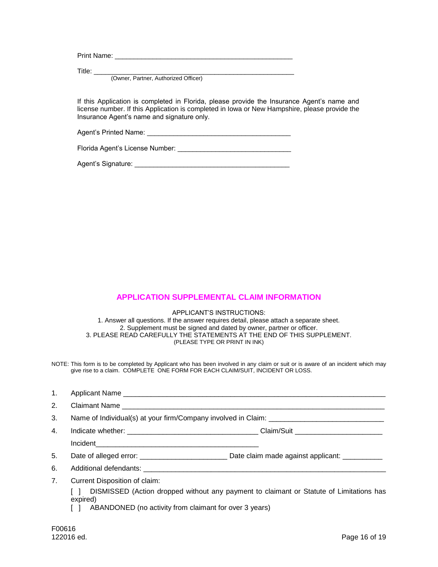| Print Name: |  |  |  |
|-------------|--|--|--|
|             |  |  |  |
| Title:      |  |  |  |

(Owner, Partner, Authorized Officer)

If this Application is completed in Florida, please provide the Insurance Agent's name and license number. If this Application is completed in Iowa or New Hampshire, please provide the Insurance Agent's name and signature only.

Agent's Printed Name:

Florida Agent's License Number: \_\_\_\_\_\_\_\_\_\_\_\_\_\_\_\_\_\_\_\_\_\_\_\_\_\_\_\_\_\_

Agent's Signature: \_\_\_\_\_\_\_\_\_\_\_\_\_\_\_\_\_\_\_\_\_\_\_\_\_\_\_\_\_\_\_\_\_\_\_\_\_\_\_\_\_

## **APPLICATION SUPPLEMENTAL CLAIM INFORMATION**

APPLICANT'S INSTRUCTIONS: 1. Answer all questions. If the answer requires detail, please attach a separate sheet. 2. Supplement must be signed and dated by owner, partner or officer. 3. PLEASE READ CAREFULLY THE STATEMENTS AT THE END OF THIS SUPPLEMENT. (PLEASE TYPE OR PRINT IN INK)

NOTE: This form is to be completed by Applicant who has been involved in any claim or suit or is aware of an incident which may give rise to a claim. COMPLETE ONE FORM FOR EACH CLAIM/SUIT, INCIDENT OR LOSS.

| 1. |                                                                                   |                                    |  |
|----|-----------------------------------------------------------------------------------|------------------------------------|--|
| 2. |                                                                                   |                                    |  |
| 3. | Name of Individual(s) at your firm/Company involved in Claim: ___________________ |                                    |  |
| 4. |                                                                                   |                                    |  |
|    |                                                                                   |                                    |  |
| 5. |                                                                                   | Date claim made against applicant: |  |
| 6. |                                                                                   |                                    |  |

7. Current Disposition of claim:

[ ] DISMISSED (Action dropped without any payment to claimant or Statute of Limitations has expired)

[ ] ABANDONED (no activity from claimant for over 3 years)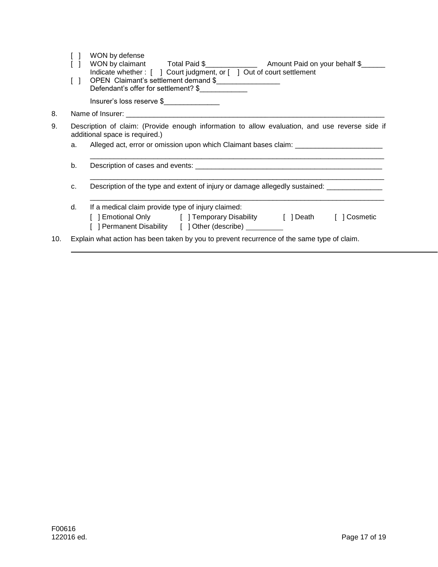|     |                                                                                                                                  | WON by defense<br>Indicate whether: [ ] Court judgment, or [ ] Out of court settlement                                        |  |  |  |
|-----|----------------------------------------------------------------------------------------------------------------------------------|-------------------------------------------------------------------------------------------------------------------------------|--|--|--|
|     | $\Box$                                                                                                                           | OPEN Claimant's settlement demand \$<br>Defendant's offer for settlement? \$                                                  |  |  |  |
|     |                                                                                                                                  | Insurer's loss reserve \$                                                                                                     |  |  |  |
| 8.  |                                                                                                                                  |                                                                                                                               |  |  |  |
| 9.  | Description of claim: (Provide enough information to allow evaluation, and use reverse side if<br>additional space is required.) |                                                                                                                               |  |  |  |
|     | a.                                                                                                                               | Alleged act, error or omission upon which Claimant bases claim: _______________________                                       |  |  |  |
|     | b.                                                                                                                               |                                                                                                                               |  |  |  |
|     | C.                                                                                                                               | Description of the type and extent of injury or damage allegedly sustained: ____________                                      |  |  |  |
|     | d.                                                                                                                               | If a medical claim provide type of injury claimed:                                                                            |  |  |  |
|     |                                                                                                                                  | [ ] Emotional Only [ ] Temporary Disability [ ] Death [ ] Cosmetic<br>[ ] Permanent Disability [ ] Other (describe) _________ |  |  |  |
| 10. |                                                                                                                                  | Explain what action has been taken by you to prevent recurrence of the same type of claim.                                    |  |  |  |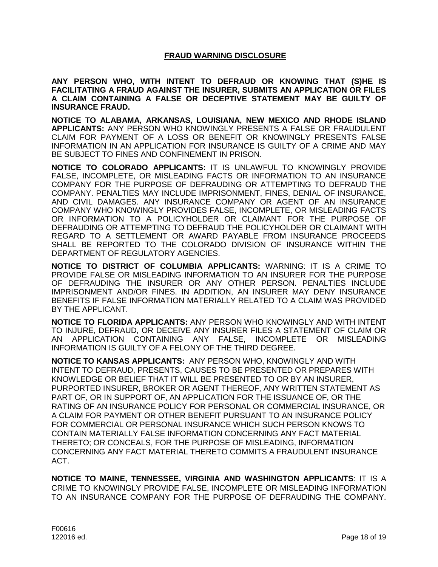## **FRAUD WARNING DISCLOSURE**

**ANY PERSON WHO, WITH INTENT TO DEFRAUD OR KNOWING THAT (S)HE IS FACILITATING A FRAUD AGAINST THE INSURER, SUBMITS AN APPLICATION OR FILES A CLAIM CONTAINING A FALSE OR DECEPTIVE STATEMENT MAY BE GUILTY OF INSURANCE FRAUD.**

**NOTICE TO ALABAMA, ARKANSAS, LOUISIANA, NEW MEXICO AND RHODE ISLAND APPLICANTS:** ANY PERSON WHO KNOWINGLY PRESENTS A FALSE OR FRAUDULENT CLAIM FOR PAYMENT OF A LOSS OR BENEFIT OR KNOWINGLY PRESENTS FALSE INFORMATION IN AN APPLICATION FOR INSURANCE IS GUILTY OF A CRIME AND MAY BE SUBJECT TO FINES AND CONFINEMENT IN PRISON.

**NOTICE TO COLORADO APPLICANTS:** IT IS UNLAWFUL TO KNOWINGLY PROVIDE FALSE, INCOMPLETE, OR MISLEADING FACTS OR INFORMATION TO AN INSURANCE COMPANY FOR THE PURPOSE OF DEFRAUDING OR ATTEMPTING TO DEFRAUD THE COMPANY. PENALTIES MAY INCLUDE IMPRISONMENT, FINES, DENIAL OF INSURANCE, AND CIVIL DAMAGES. ANY INSURANCE COMPANY OR AGENT OF AN INSURANCE COMPANY WHO KNOWINGLY PROVIDES FALSE, INCOMPLETE, OR MISLEADING FACTS OR INFORMATION TO A POLICYHOLDER OR CLAIMANT FOR THE PURPOSE OF DEFRAUDING OR ATTEMPTING TO DEFRAUD THE POLICYHOLDER OR CLAIMANT WITH REGARD TO A SETTLEMENT OR AWARD PAYABLE FROM INSURANCE PROCEEDS SHALL BE REPORTED TO THE COLORADO DIVISION OF INSURANCE WITHIN THE DEPARTMENT OF REGULATORY AGENCIES.

**NOTICE TO DISTRICT OF COLUMBIA APPLICANTS:** WARNING: IT IS A CRIME TO PROVIDE FALSE OR MISLEADING INFORMATION TO AN INSURER FOR THE PURPOSE OF DEFRAUDING THE INSURER OR ANY OTHER PERSON. PENALTIES INCLUDE IMPRISONMENT AND/OR FINES. IN ADDITION, AN INSURER MAY DENY INSURANCE BENEFITS IF FALSE INFORMATION MATERIALLY RELATED TO A CLAIM WAS PROVIDED BY THE APPLICANT.

**NOTICE TO FLORIDA APPLICANTS:** ANY PERSON WHO KNOWINGLY AND WITH INTENT TO INJURE, DEFRAUD, OR DECEIVE ANY INSURER FILES A STATEMENT OF CLAIM OR AN APPLICATION CONTAINING ANY FALSE, INCOMPLETE OR MISLEADING INFORMATION IS GUILTY OF A FELONY OF THE THIRD DEGREE.

**NOTICE TO KANSAS APPLICANTS:** ANY PERSON WHO, KNOWINGLY AND WITH INTENT TO DEFRAUD, PRESENTS, CAUSES TO BE PRESENTED OR PREPARES WITH KNOWLEDGE OR BELIEF THAT IT WILL BE PRESENTED TO OR BY AN INSURER, PURPORTED INSURER, BROKER OR AGENT THEREOF, ANY WRITTEN STATEMENT AS PART OF, OR IN SUPPORT OF, AN APPLICATION FOR THE ISSUANCE OF, OR THE RATING OF AN INSURANCE POLICY FOR PERSONAL OR COMMERCIAL INSURANCE, OR A CLAIM FOR PAYMENT OR OTHER BENEFIT PURSUANT TO AN INSURANCE POLICY FOR COMMERCIAL OR PERSONAL INSURANCE WHICH SUCH PERSON KNOWS TO CONTAIN MATERIALLY FALSE INFORMATION CONCERNING ANY FACT MATERIAL THERETO; OR CONCEALS, FOR THE PURPOSE OF MISLEADING, INFORMATION CONCERNING ANY FACT MATERIAL THERETO COMMITS A FRAUDULENT INSURANCE ACT.

**NOTICE TO MAINE, TENNESSEE, VIRGINIA AND WASHINGTON APPLICANTS**: IT IS A CRIME TO KNOWINGLY PROVIDE FALSE, INCOMPLETE OR MISLEADING INFORMATION TO AN INSURANCE COMPANY FOR THE PURPOSE OF DEFRAUDING THE COMPANY.